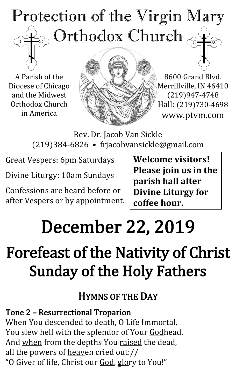#### Protection of the Virgin Mary ) Orthodox Church  $_{\odot}$ TC<sub>1</sub>

A Parish of the Diocese of Chicago and the Midwest Orthodox Church in America



8600 Grand Blvd. Merrillville, IN 46410 (219)947-4748 Hall: (219)730-4698 www.ptvm.com

Rev. Dr. Jacob Van Sickle (219)384-6826 • frjacobvansickle@gmail.com

Great Vespers: 6pm Saturdays

Divine Liturgy: 10am Sundays

Confessions are heard before or after Vespers or by appointment. **Welcome visitors! Please join us in the parish hall after Divine Liturgy for coffee hour.**

## December 22, 2019

## Forefeast of the Nativity of Christ Sunday of the Holy Fathers

#### HYMNS OF THE DAY

Tone 2 – Resurrectional Troparion When You descended to death, O Life Immortal, You slew hell with the splendor of Your Godhead. And when from the depths You raised the dead, all the powers of heaven cried out:// "O Giver of life, Christ our God, glory to You!"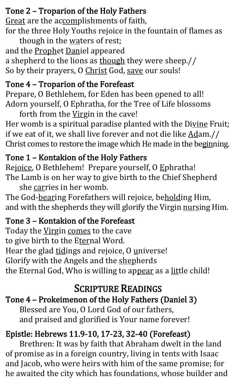#### Tone 2 – Troparion of the Holy Fathers

Great are the accomplishments of faith, for the three Holy Youths rejoice in the fountain of flames as

though in the waters of rest; and the **Prophet Daniel** appeared a shepherd to the lions as though they were sheep.// So by their prayers, O Christ God, save our souls!

#### Tone 4 – Troparion of the Forefeast

Prepare, O Bethlehem, for Eden has been opened to all! Adorn yourself, O Ephratha, for the Tree of Life blossoms

forth from the Virgin in the cave! Her womb is a spiritual paradise planted with the Divine Fruit; if we eat of it, we shall live forever and not die like Adam.// Christ comes to restore the image which He made in the beginning.

#### Tone 1 – Kontakion of the Holy Fathers

Rejoice, O Bethlehem! Prepare yourself, O Ephratha! The Lamb is on her way to give birth to the Chief Shepherd she carries in her womb.

The God-bearing Forefathers will rejoice, beholding Him, and with the shepherds they will glorify the Virgin nursing Him.

#### Tone 3 – Kontakion of the Forefeast

Today the Virgin comes to the cave to give birth to the Eternal Word. Hear the glad tidings and rejoice, O universe! Glorify with the Angels and the shepherds the Eternal God, Who is willing to appear as a little child!

#### SCRIPTURE READINGS

#### Tone 4 – Prokeimenon of the Holy Fathers (Daniel 3)

Blessed are You, O Lord God of our fathers, and praised and glorified is Your name forever!

#### Epistle: Hebrews 11.9-10, 17-23, 32-40 (Forefeast)

Brethren: It was by faith that Abraham dwelt in the land of promise as in a foreign country, living in tents with Isaac and Jacob, who were heirs with him of the same promise; for he awaited the city which has foundations, whose builder and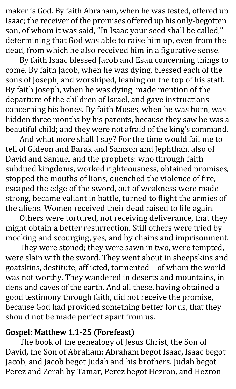maker is God. By faith Abraham, when he was tested, offered up Isaac; the receiver of the promises offered up his only-begotten son, of whom it was said, "In Isaac your seed shall be called," determining that God was able to raise him up, even from the dead, from which he also received him in a figurative sense.

By faith Isaac blessed Jacob and Esau concerning things to come. By faith Jacob, when he was dying, blessed each of the sons of Joseph, and worshiped, leaning on the top of his staff. By faith Joseph, when he was dying, made mention of the departure of the children of Israel, and gave instructions concerning his bones. By faith Moses, when he was born, was hidden three months by his parents, because they saw he was a beautiful child; and they were not afraid of the king's command.

And what more shall I say? For the time would fail me to tell of Gideon and Barak and Samson and Jephthah, also of David and Samuel and the prophets: who through faith subdued kingdoms, worked righteousness, obtained promises, stopped the mouths of lions, quenched the violence of fire, escaped the edge of the sword, out of weakness were made strong, became valiant in battle, turned to flight the armies of the aliens. Women received their dead raised to life again.

Others were tortured, not receiving deliverance, that they might obtain a better resurrection. Still others were tried by mocking and scourging, yes, and by chains and imprisonment.

They were stoned; they were sawn in two, were tempted, were slain with the sword. They went about in sheepskins and goatskins, destitute, afflicted, tormented – of whom the world was not worthy. They wandered in deserts and mountains, in dens and caves of the earth. And all these, having obtained a good testimony through faith, did not receive the promise, because God had provided something better for us, that they should not be made perfect apart from us.

#### Gospel: Matthew 1.1-25 (Forefeast)

The book of the genealogy of Jesus Christ, the Son of David, the Son of Abraham: Abraham begot Isaac, Isaac begot Jacob, and Jacob begot Judah and his brothers. Judah begot Perez and Zerah by Tamar, Perez begot Hezron, and Hezron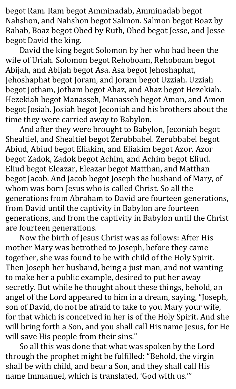begot Ram. Ram begot Amminadab, Amminadab begot Nahshon, and Nahshon begot Salmon. Salmon begot Boaz by Rahab, Boaz begot Obed by Ruth, Obed begot Jesse, and Jesse begot David the king.

David the king begot Solomon by her who had been the wife of Uriah. Solomon begot Rehoboam, Rehoboam begot Abijah, and Abijah begot Asa. Asa begot Jehoshaphat, Jehoshaphat begot Joram, and Joram begot Uzziah. Uzziah begot Jotham, Jotham begot Ahaz, and Ahaz begot Hezekiah. Hezekiah begot Manasseh, Manasseh begot Amon, and Amon begot Josiah. Josiah begot Jeconiah and his brothers about the time they were carried away to Babylon.

And after they were brought to Babylon, Jeconiah begot Shealtiel, and Shealtiel begot Zerubbabel. Zerubbabel begot Abiud, Abiud begot Eliakim, and Eliakim begot Azor. Azor begot Zadok, Zadok begot Achim, and Achim begot Eliud. Eliud begot Eleazar, Eleazar begot Matthan, and Matthan begot Jacob. And Jacob begot Joseph the husband of Mary, of whom was born Jesus who is called Christ. So all the generations from Abraham to David are fourteen generations, from David until the captivity in Babylon are fourteen generations, and from the captivity in Babylon until the Christ are fourteen generations.

Now the birth of Jesus Christ was as follows: After His mother Mary was betrothed to Joseph, before they came together, she was found to be with child of the Holy Spirit. Then Joseph her husband, being a just man, and not wanting to make her a public example, desired to put her away secretly. But while he thought about these things, behold, an angel of the Lord appeared to him in a dream, saying, "Joseph, son of David, do not be afraid to take to you Mary your wife, for that which is conceived in her is of the Holy Spirit. And she will bring forth a Son, and you shall call His name Jesus, for He will save His people from their sins."

So all this was done that what was spoken by the Lord through the prophet might be fulfilled: "Behold, the virgin shall be with child, and bear a Son, and they shall call His name Immanuel, which is translated, 'God with us.'"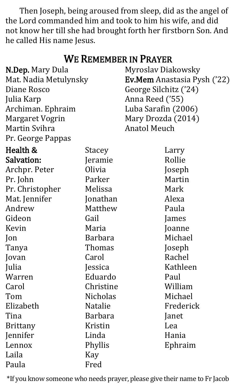Then Joseph, being aroused from sleep, did as the angel of the Lord commanded him and took to him his wife, and did not know her till she had brought forth her firstborn Son. And he called His name Jesus.

| <b>WE REMEMBER IN PRAYER</b> |                 |                                    |
|------------------------------|-----------------|------------------------------------|
| <b>N.Dep.</b> Mary Dula      |                 | <b>Myroslav Diakowsky</b>          |
| Mat. Nadia Metulynsky        |                 | <b>Ev.Mem</b> Anastasia Pysh ('22) |
| Diane Rosco                  |                 | George Silchitz ('24)              |
| Julia Karp                   |                 | Anna Reed ('55)                    |
| Archiman. Ephraim            |                 | Luba Sarafin (2006)                |
| <b>Margaret Vogrin</b>       |                 | Mary Drozda (2014)                 |
| Martin Svihra                |                 | <b>Anatol Meuch</b>                |
| Pr. George Pappas            |                 |                                    |
| Health &                     | Stacey          | Larry                              |
| <b>Salvation:</b>            | Jeramie         | Rollie                             |
| Archpr. Peter                | Olivia          | Joseph                             |
| Pr. John                     | Parker          | Martin                             |
| Pr. Christopher              | Melissa         | Mark                               |
| Mat. Jennifer                | Jonathan        | Alexa                              |
| Andrew                       | Matthew         | Paula                              |
| Gideon                       | Gail            | James                              |
| Kevin                        | Maria           | Joanne                             |
| Jon                          | <b>Barbara</b>  | Michael                            |
| Tanya                        | Thomas          | Joseph                             |
| Jovan                        | Carol           | Rachel                             |
| Julia                        | Jessica         | Kathleen                           |
| Warren                       | Eduardo         | Paul                               |
| Carol                        | Christine       | William                            |
| Tom                          | <b>Nicholas</b> | Michael                            |
| Elizabeth                    | <b>Natalie</b>  | Frederick                          |
| Tina                         | <b>Barbara</b>  | Janet                              |
| <b>Brittany</b>              | Kristin         | Lea                                |
| Jennifer                     | Linda           | Hania                              |
| Lennox                       | Phyllis         | Ephraim                            |
| Laila                        | Kay             |                                    |
| Paula                        | Fred            |                                    |

\*If you know someone who needs prayer, please give their name to Fr Jacob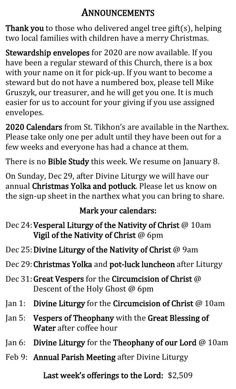#### ANNOUNCEMENTS

Thank you to those who delivered angel tree gift(s), helping two local families with children have a merry Christmas.

Stewardship envelopes for 2020 are now available. If you have been a regular steward of this Church, there is a box with your name on it for pick-up. If you want to become a steward but do not have a numbered box, please tell Mike Gruszyk, our treasurer, and he will get you one. It is much easier for us to account for your giving if you use assigned envelopes.

2020 Calendars from St. Tikhon's are available in the Narthex. Please take only one per adult until they have been out for a few weeks and everyone has had a chance at them.

There is no Bible Study this week. We resume on January 8.

On Sunday, Dec 29, after Divine Liturgy we will have our annual Christmas Yolka and potluck. Please let us know on the sign-up sheet in the narthex what you can bring to share.

#### Mark your calendars:

- Dec 24: Vesperal Liturgy of the Nativity of Christ @ 10am Vigil of the Nativity of Christ @ 6pm
- Dec 25: Divine Liturgy of the Nativity of Christ @ 9am
- Dec 29:Christmas Yolka and pot-luck luncheon after Liturgy
- Dec 31:Great Vespers for the Circumcision of Christ @ Descent of the Holy Ghost @ 6pm
- Jan 1: Divine Liturgy for the Circumcision of Christ @ 10am
- Jan 5: Vespers of Theophany with the Great Blessing of Water after coffee hour
- Jan 6: Divine Liturgy for the Theophany of our Lord @ 10am
- Feb 9: Annual Parish Meeting after Divine Liturgy

Last week's offerings to the Lord: \$2,509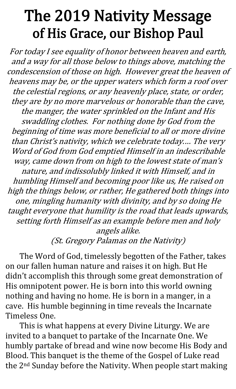### The 2019 Nativity Message of His Grace, our Bishop Paul

For today I see equality of honor between heaven and earth, and a way for all those below to things above, matching the condescension of those on high. However great the heaven of heavens may be, or the upper waters which form a roof over the celestial regions, or any heavenly place, state, or order, they are by no more marvelous or honorable than the cave, the manger, the water sprinkled on the Infant and His swaddling clothes. For nothing done by God from the beginning of time was more beneficial to all or more divine than Christ's nativity, which we celebrate today.… The very Word of God from God emptied Himself in an indescribable way, came down from on high to the lowest state of man's nature, and indissolubly linked it with Himself, and in humbling Himself and becoming poor like us, He raised on high the things below, or rather, He gathered both things into one, mingling humanity with divinity, and by so doing He taught everyone that humility is the road that leads upwards, setting forth Himself as an example before men and holy angels alike.

(St. Gregory Palamas on the Nativity)

The Word of God, timelessly begotten of the Father, takes on our fallen human nature and raises it on high. But He didn't accomplish this through some great demonstration of His omnipotent power. He is born into this world owning nothing and having no home. He is born in a manger, in a cave. His humble beginning in time reveals the Incarnate Timeless One.

This is what happens at every Divine Liturgy. We are invited to a banquet to partake of the Incarnate One. We humbly partake of bread and wine now become His Body and Blood. This banquet is the theme of the Gospel of Luke read the 2nd Sunday before the Nativity. When people start making